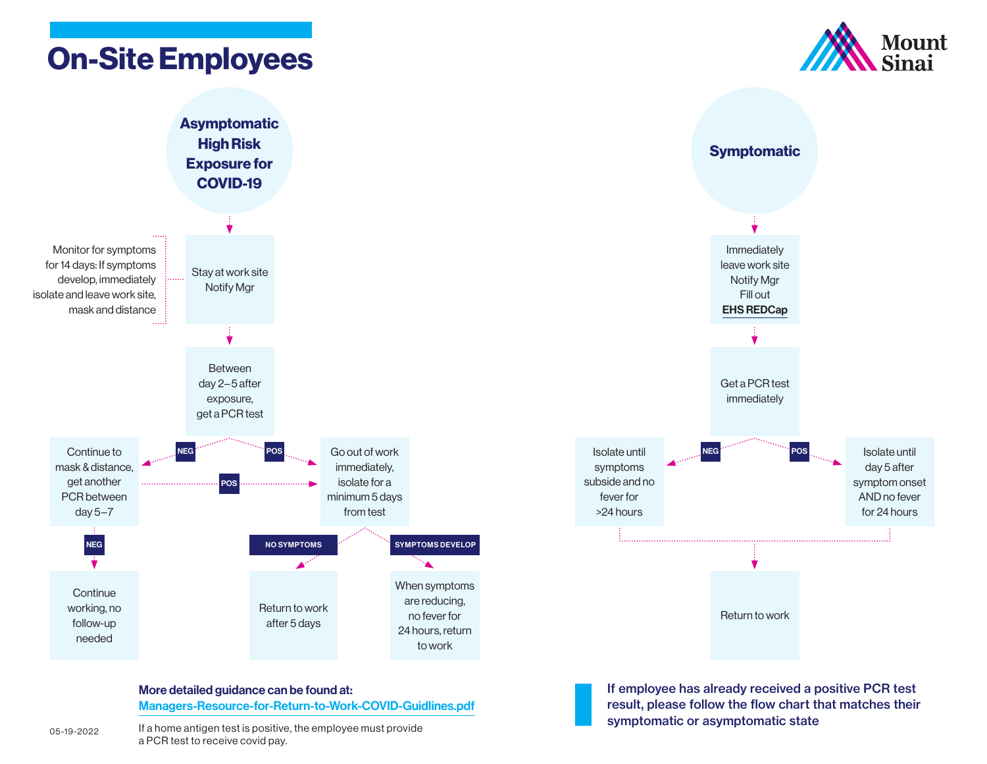05-19-2022 If a home antigen test is positive, the employee must provide a PCR test to receive covid pay.

Managers-Resource-for-Return-to-Work-COVID-Guidlines.pdf

If employee has already received a positive PCR test result, please follow the flow chart that matches their symptomatic or asymptomatic state







Isolate until day 5 after symptom onset AND no fever for 24 hours